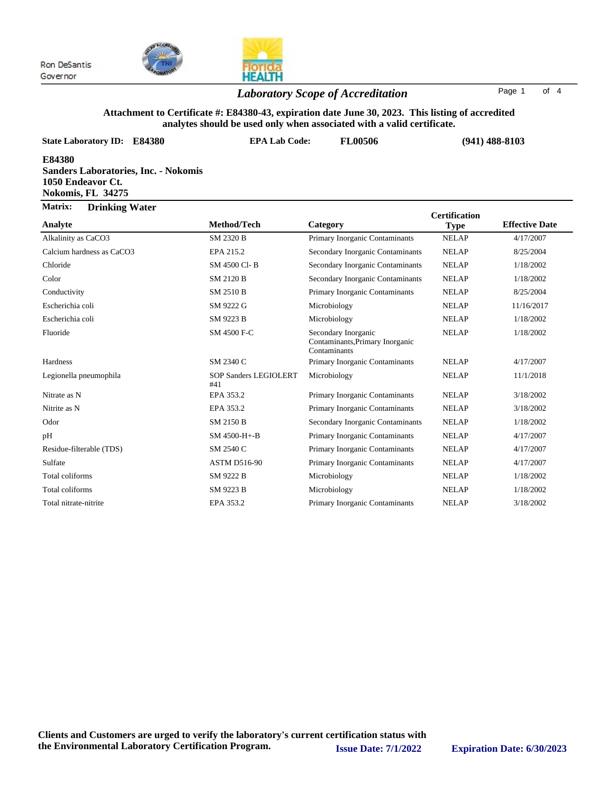



# *Laboratory Scope of Accreditation* Page <sup>1</sup> of <sup>4</sup>

### **Attachment to Certificate #: E84380-43, expiration date June 30, 2023. This listing of accredited analytes should be used only when associated with a valid certificate.**

| <b>State Laboratory ID: E84380</b>                                                              | <b>EPA Lab Code:</b>                | FL00506                                                                |                                     | $(941)$ 488-8103      |  |
|-------------------------------------------------------------------------------------------------|-------------------------------------|------------------------------------------------------------------------|-------------------------------------|-----------------------|--|
| E84380<br><b>Sanders Laboratories, Inc. - Nokomis</b><br>1050 Endeavor Ct.<br>Nokomis, FL 34275 |                                     |                                                                        |                                     |                       |  |
| Matrix:<br><b>Drinking Water</b>                                                                |                                     |                                                                        |                                     |                       |  |
| Analyte                                                                                         | Method/Tech                         | Category                                                               | <b>Certification</b><br><b>Type</b> | <b>Effective Date</b> |  |
| Alkalinity as CaCO3                                                                             | <b>SM 2320 B</b>                    | Primary Inorganic Contaminants                                         | <b>NELAP</b>                        | 4/17/2007             |  |
| Calcium hardness as CaCO3                                                                       | EPA 215.2                           | Secondary Inorganic Contaminants                                       | <b>NELAP</b>                        | 8/25/2004             |  |
| Chloride                                                                                        | SM 4500 Cl-B                        | Secondary Inorganic Contaminants                                       | <b>NELAP</b>                        | 1/18/2002             |  |
| Color                                                                                           | <b>SM 2120 B</b>                    | Secondary Inorganic Contaminants                                       | <b>NELAP</b>                        | 1/18/2002             |  |
| Conductivity                                                                                    | SM 2510 B                           | Primary Inorganic Contaminants                                         | <b>NELAP</b>                        | 8/25/2004             |  |
| Escherichia coli                                                                                | SM 9222 G                           | Microbiology                                                           | <b>NELAP</b>                        | 11/16/2017            |  |
| Escherichia coli                                                                                | SM 9223 B                           | Microbiology                                                           | <b>NELAP</b>                        | 1/18/2002             |  |
| Fluoride                                                                                        | SM 4500 F-C                         | Secondary Inorganic<br>Contaminants, Primary Inorganic<br>Contaminants | <b>NELAP</b>                        | 1/18/2002             |  |
| Hardness                                                                                        | SM 2340 C                           | Primary Inorganic Contaminants                                         | <b>NELAP</b>                        | 4/17/2007             |  |
| Legionella pneumophila                                                                          | <b>SOP Sanders LEGIOLERT</b><br>#41 | Microbiology                                                           | <b>NELAP</b>                        | 11/1/2018             |  |
| Nitrate as N                                                                                    | EPA 353.2                           | Primary Inorganic Contaminants                                         | <b>NELAP</b>                        | 3/18/2002             |  |
| Nitrite as N                                                                                    | EPA 353.2                           | Primary Inorganic Contaminants                                         | <b>NELAP</b>                        | 3/18/2002             |  |
| Odor                                                                                            | <b>SM 2150 B</b>                    | Secondary Inorganic Contaminants                                       | <b>NELAP</b>                        | 1/18/2002             |  |
| pH                                                                                              | SM 4500-H+-B                        | Primary Inorganic Contaminants                                         | <b>NELAP</b>                        | 4/17/2007             |  |
| Residue-filterable (TDS)                                                                        | SM 2540 C                           | Primary Inorganic Contaminants                                         | <b>NELAP</b>                        | 4/17/2007             |  |
| Sulfate                                                                                         | <b>ASTM D516-90</b>                 | Primary Inorganic Contaminants                                         | <b>NELAP</b>                        | 4/17/2007             |  |
| Total coliforms                                                                                 | SM 9222 B                           | Microbiology                                                           | <b>NELAP</b>                        | 1/18/2002             |  |
| Total coliforms                                                                                 | SM 9223 B                           | Microbiology                                                           | <b>NELAP</b>                        | 1/18/2002             |  |
| Total nitrate-nitrite                                                                           | EPA 353.2                           | Primary Inorganic Contaminants                                         | <b>NELAP</b>                        | 3/18/2002             |  |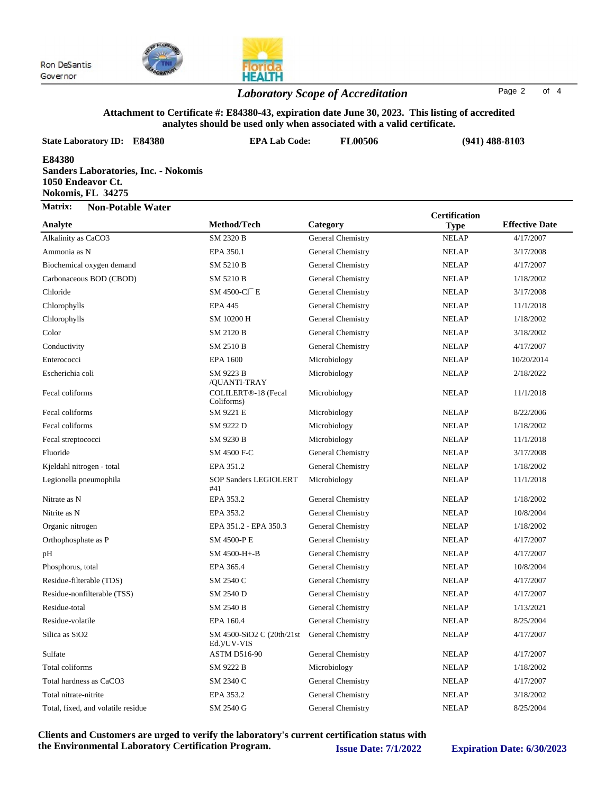



# *Laboratory Scope of Accreditation* Page <sup>2</sup> of <sup>4</sup>

#### **Attachment to Certificate #: E84380-43, expiration date June 30, 2023. This listing of accredited analytes should be used only when associated with a valid certificate.**

| <b>State Laboratory ID:</b><br><b>E84380</b>                                             | <b>EPA Lab Code:</b>      | <b>FL00506</b>    | $(941)$ 488-8103     |                       |
|------------------------------------------------------------------------------------------|---------------------------|-------------------|----------------------|-----------------------|
| E84380<br>Sanders Laboratories, Inc. - Nokomis<br>1050 Endeavor Ct.<br>Nokomis, FL 34275 |                           |                   |                      |                       |
| Matrix:<br><b>Non-Potable Water</b>                                                      |                           |                   | <b>Certification</b> |                       |
| Analyte                                                                                  | Method/Tech               | Category          | <b>Type</b>          | <b>Effective Date</b> |
| Alkalinity as CaCO3                                                                      | SM 2320 B                 | General Chemistry | <b>NELAP</b>         | 4/17/2007             |
| Ammonia as N                                                                             | EPA 350.1                 | General Chemistry | <b>NELAP</b>         | 3/17/2008             |
| Biochemical oxygen demand                                                                | SM 5210 B                 | General Chemistry | <b>NELAP</b>         | 4/17/2007             |
| Carbonaceous BOD (CBOD)                                                                  | SM 5210 B                 | General Chemistry | <b>NELAP</b>         | 1/18/2002             |
| Chloride                                                                                 | SM 4500-Cl <sup>-</sup> E | General Chemistry | <b>NELAP</b>         | 3/17/2008             |
| Chlorophylls                                                                             | <b>EPA 445</b>            | General Chemistry | <b>NELAP</b>         | 11/1/2018             |
| Chlorophylls                                                                             | SM 10200 H                | General Chemistry | <b>NELAP</b>         | 1/18/2002             |
| Color                                                                                    | <b>SM 2120 B</b>          | General Chemistry | <b>NELAP</b>         | 3/18/2002             |
| Conductivity                                                                             | SM 2510 B                 | General Chemistry | <b>NELAP</b>         | 4/17/2007             |
| Enterococci                                                                              | <b>EPA 1600</b>           | Microbiology      | <b>NELAP</b>         | 10/20/2014            |
| ____                                                                                     |                           |                   |                      |                       |

| спонче                             |                                           | OCHCLAI CHCHHSU Y |              | 3/11/2000  |
|------------------------------------|-------------------------------------------|-------------------|--------------|------------|
| Chlorophylls                       | <b>EPA 445</b>                            | General Chemistry | <b>NELAP</b> | 11/1/2018  |
| Chlorophylls                       | SM 10200 H                                | General Chemistry | <b>NELAP</b> | 1/18/2002  |
| Color                              | SM 2120 B                                 | General Chemistry | <b>NELAP</b> | 3/18/2002  |
| Conductivity                       | SM 2510 B                                 | General Chemistry | <b>NELAP</b> | 4/17/2007  |
| Enterococci                        | <b>EPA 1600</b>                           | Microbiology      | <b>NELAP</b> | 10/20/2014 |
| Escherichia coli                   | SM 9223 B<br>/QUANTI-TRAY                 | Microbiology      | <b>NELAP</b> | 2/18/2022  |
| Fecal coliforms                    | COLILERT®-18 (Fecal<br>Coliforms)         | Microbiology      | <b>NELAP</b> | 11/1/2018  |
| Fecal coliforms                    | SM 9221 E                                 | Microbiology      | <b>NELAP</b> | 8/22/2006  |
| Fecal coliforms                    | SM 9222 D                                 | Microbiology      | <b>NELAP</b> | 1/18/2002  |
| Fecal streptococci                 | SM 9230 B                                 | Microbiology      | <b>NELAP</b> | 11/1/2018  |
| Fluoride                           | SM 4500 F-C                               | General Chemistry | <b>NELAP</b> | 3/17/2008  |
| Kjeldahl nitrogen - total          | EPA 351.2                                 | General Chemistry | <b>NELAP</b> | 1/18/2002  |
| Legionella pneumophila             | <b>SOP Sanders LEGIOLERT</b><br>#41       | Microbiology      | <b>NELAP</b> | 11/1/2018  |
| Nitrate as N                       | EPA 353.2                                 | General Chemistry | <b>NELAP</b> | 1/18/2002  |
| Nitrite as N                       | EPA 353.2                                 | General Chemistry | <b>NELAP</b> | 10/8/2004  |
| Organic nitrogen                   | EPA 351.2 - EPA 350.3                     | General Chemistry | <b>NELAP</b> | 1/18/2002  |
| Orthophosphate as P                | SM 4500-PE                                | General Chemistry | <b>NELAP</b> | 4/17/2007  |
| pH                                 | SM 4500-H+-B                              | General Chemistry | <b>NELAP</b> | 4/17/2007  |
| Phosphorus, total                  | EPA 365.4                                 | General Chemistry | <b>NELAP</b> | 10/8/2004  |
| Residue-filterable (TDS)           | SM 2540 C                                 | General Chemistry | <b>NELAP</b> | 4/17/2007  |
| Residue-nonfilterable (TSS)        | SM 2540 D                                 | General Chemistry | <b>NELAP</b> | 4/17/2007  |
| Residue-total                      | SM 2540 B                                 | General Chemistry | <b>NELAP</b> | 1/13/2021  |
| Residue-volatile                   | EPA 160.4                                 | General Chemistry | <b>NELAP</b> | 8/25/2004  |
| Silica as SiO <sub>2</sub>         | SM 4500-SiO2 C (20th/21st)<br>Ed.)/UV-VIS | General Chemistry | <b>NELAP</b> | 4/17/2007  |
| Sulfate                            | <b>ASTM D516-90</b>                       | General Chemistry | <b>NELAP</b> | 4/17/2007  |
| Total coliforms                    | SM 9222 B                                 | Microbiology      | <b>NELAP</b> | 1/18/2002  |
| Total hardness as CaCO3            | SM 2340 C                                 | General Chemistry | <b>NELAP</b> | 4/17/2007  |
| Total nitrate-nitrite              | EPA 353.2                                 | General Chemistry | <b>NELAP</b> | 3/18/2002  |
| Total, fixed, and volatile residue | SM 2540 G                                 | General Chemistry | <b>NELAP</b> | 8/25/2004  |
|                                    |                                           |                   |              |            |

**Clients and Customers are urged to verify the laboratory's current certification status with the Environmental Laboratory Certification Program. Issue Date: 7/1/2022 Expiration Date: 6/30/2023**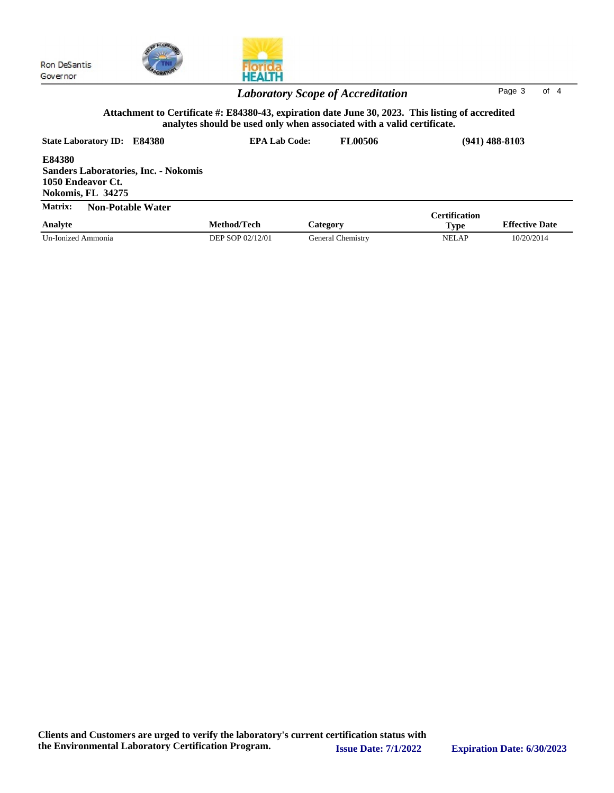



HEALTH

| лици іл.<br>Analyte | TWIL-I OLADIC <i>W</i> atch | Method/Tech      | Category          | <b>Certification</b><br><b>Effective Date</b><br>Type |            |
|---------------------|-----------------------------|------------------|-------------------|-------------------------------------------------------|------------|
| Un-Ionized Ammonia  |                             | DEP SOP 02/12/01 | General Chemistrv | NELAP                                                 | 10/20/2014 |